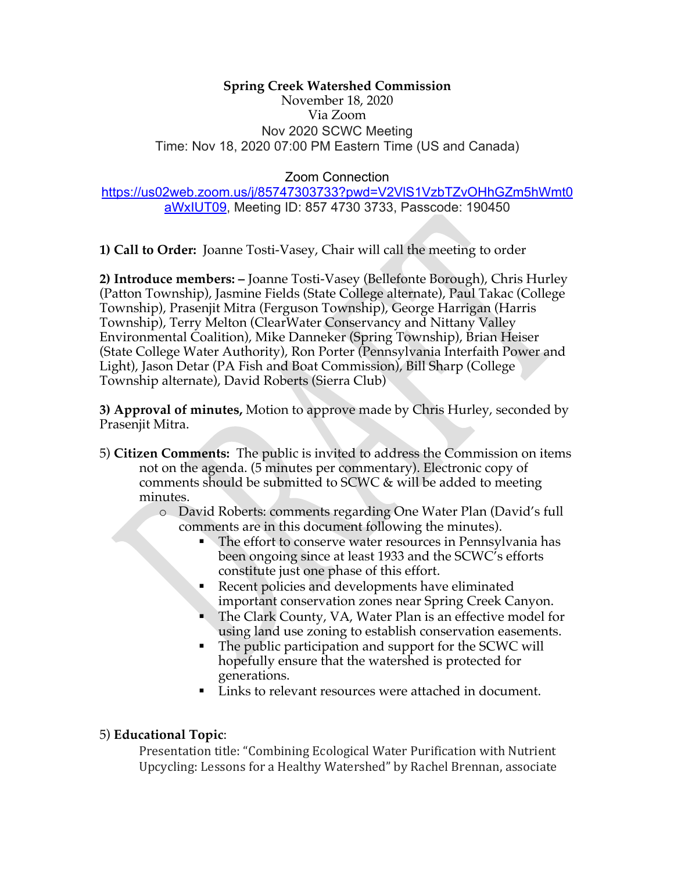#### **Spring Creek Watershed Commission** November 18, 2020 Via Zoom Nov 2020 SCWC Meeting Time: Nov 18, 2020 07:00 PM Eastern Time (US and Canada)

Zoom Connection

## https://us02web.zoom.us/j/85747303733?pwd=V2VlS1VzbTZvOHhGZm5hWmt0 aWxIUT09, Meeting ID: 857 4730 3733, Passcode: 190450

**1) Call to Order:** Joanne Tosti-Vasey, Chair will call the meeting to order

**2) Introduce members: –** Joanne Tosti-Vasey (Bellefonte Borough), Chris Hurley (Patton Township), Jasmine Fields (State College alternate), Paul Takac (College Township), Prasenjit Mitra (Ferguson Township), George Harrigan (Harris Township), Terry Melton (ClearWater Conservancy and Nittany Valley Environmental Coalition), Mike Danneker (Spring Township), Brian Heiser (State College Water Authority), Ron Porter (Pennsylvania Interfaith Power and Light), Jason Detar (PA Fish and Boat Commission), Bill Sharp (College Township alternate), David Roberts (Sierra Club)

**3) Approval of minutes,** Motion to approve made by Chris Hurley, seconded by Prasenjit Mitra.

5) **Citizen Comments:** The public is invited to address the Commission on items not on the agenda. (5 minutes per commentary). Electronic copy of comments should be submitted to SCWC & will be added to meeting minutes.

o David Roberts: comments regarding One Water Plan (David's full comments are in this document following the minutes).

- The effort to conserve water resources in Pennsylvania has been ongoing since at least 1933 and the SCWC's efforts constitute just one phase of this effort.
- Recent policies and developments have eliminated important conservation zones near Spring Creek Canyon.
- The Clark County, VA, Water Plan is an effective model for using land use zoning to establish conservation easements.
- The public participation and support for the SCWC will hopefully ensure that the watershed is protected for generations.
- Links to relevant resources were attached in document.

# 5) **Educational Topic**:

Presentation title: "Combining Ecological Water Purification with Nutrient Upcycling: Lessons for a Healthy Watershed" by Rachel Brennan, associate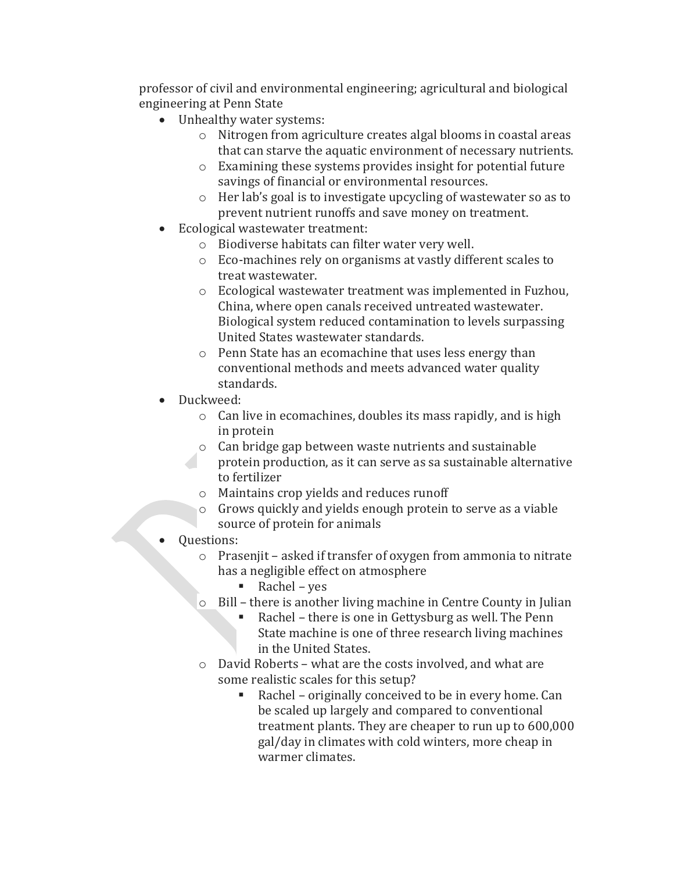professor of civil and environmental engineering; agricultural and biological engineering at Penn State

- Unhealthy water systems:
	- $\circ$  Nitrogen from agriculture creates algal blooms in coastal areas that can starve the aquatic environment of necessary nutrients.
	- $\circ$  Examining these systems provides insight for potential future savings of financial or environmental resources.
	- $\circ$  Her lab's goal is to investigate upcycling of wastewater so as to prevent nutrient runoffs and save money on treatment.
- Ecological wastewater treatment:
	- o Biodiverse habitats can filter water very well.
	- $\circ$  Eco-machines rely on organisms at vastly different scales to treat wastewater.
	- $\circ$  Ecological wastewater treatment was implemented in Fuzhou, China, where open canals received untreated wastewater. Biological system reduced contamination to levels surpassing United States wastewater standards.
	- $\circ$  Penn State has an ecomachine that uses less energy than conventional methods and meets advanced water quality standards.
- Duckweed:
	- $\circ$  Can live in ecomachines, doubles its mass rapidly, and is high in protein
	- $\circ$  Can bridge gap between waste nutrients and sustainable protein production, as it can serve as sa sustainable alternative to fertilizer
	- $\circ$  Maintains crop yields and reduces runoff
	- $\circ$  Grows quickly and yields enough protein to serve as a viable source of protein for animals
- Questions:
	- $\circ$  Prasenjit asked if transfer of oxygen from ammonia to nitrate has a negligible effect on atmosphere
		- Rachel yes
	- Bill there is another living machine in Centre County in Julian
		- Rachel there is one in Gettysburg as well. The Penn State machine is one of three research living machines in the United States.
	- $\circ$  David Roberts what are the costs involved, and what are some realistic scales for this setup?
		- Rachel originally conceived to be in every home. Can be scaled up largely and compared to conventional treatment plants. They are cheaper to run up to 600,000 gal/day in climates with cold winters, more cheap in warmer climates.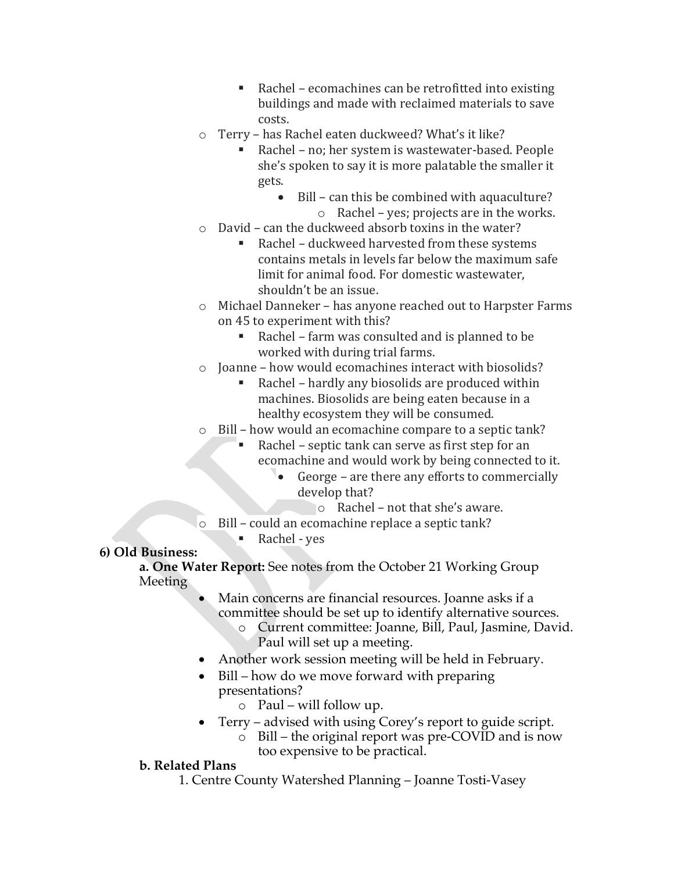- Rachel ecomachines can be retrofitted into existing buildings and made with reclaimed materials to save costs.
- o Terry has Rachel eaten duckweed? What's it like?
	- Rachel no; her system is wastewater-based. People she's spoken to say it is more palatable the smaller it gets.
		- $\bullet$  Bill can this be combined with aquaculture?  $\circ$  Rachel – yes; projects are in the works.
- $\circ$  David can the duckweed absorb toxins in the water?
	- Rachel duckweed harvested from these systems contains metals in levels far below the maximum safe limit for animal food. For domestic wastewater, shouldn't be an issue.
- o Michael Danneker has anyone reached out to Harpster Farms on 45 to experiment with this?
	- Rachel farm was consulted and is planned to be worked with during trial farms.
- $\circ$  Joanne how would ecomachines interact with biosolids?
	- Rachel hardly any biosolids are produced within machines. Biosolids are being eaten because in a healthy ecosystem they will be consumed.
- $\circ$  Bill how would an ecomachine compare to a septic tank?
	- Rachel septic tank can serve as first step for an ecomachine and would work by being connected to it.
		- George are there any efforts to commercially develop that?
		- $\circ$  Rachel not that she's aware.
- $\circ$  Bill could an ecomachine replace a septic tank?
	- Rachel yes

# **6) Old Business:**

**a. One Water Report:** See notes from the October 21 Working Group Meeting

- Main concerns are financial resources. Joanne asks if a committee should be set up to identify alternative sources.
	- o Current committee: Joanne, Bill, Paul, Jasmine, David. Paul will set up a meeting.
- Another work session meeting will be held in February.
- Bill how do we move forward with preparing presentations?
	- $\circ$  Paul will follow up.
	- Terry advised with using Corey's report to guide script.
		- o Bill the original report was pre-COVID and is now too expensive to be practical.

# **b. Related Plans**

1. Centre County Watershed Planning – Joanne Tosti-Vasey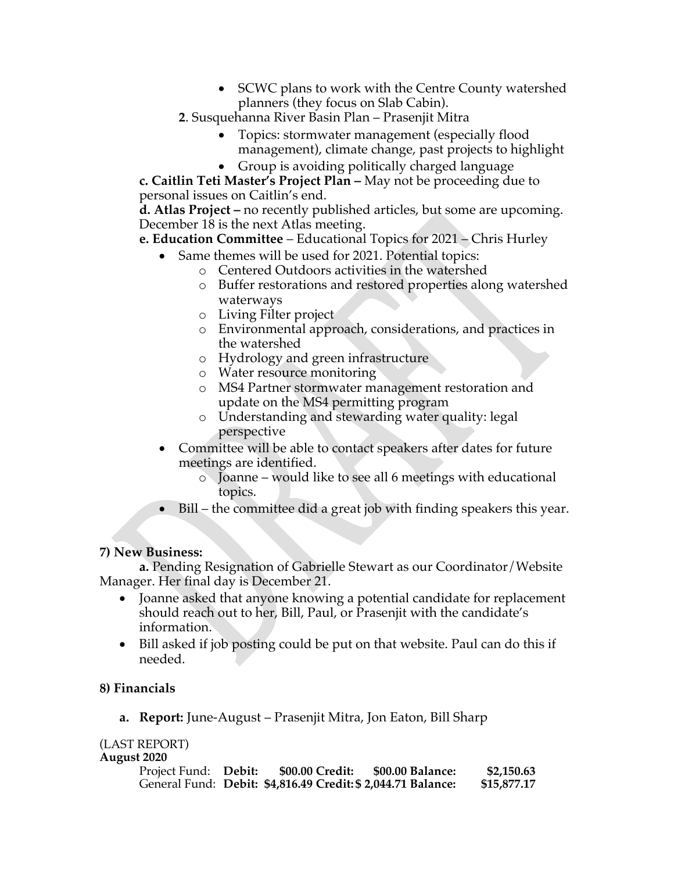- SCWC plans to work with the Centre County watershed planners (they focus on Slab Cabin).
- **2**. Susquehanna River Basin Plan Prasenjit Mitra
	- Topics: stormwater management (especially flood management), climate change, past projects to highlight
	- Group is avoiding politically charged language

**c. Caitlin Teti Master's Project Plan –** May not be proceeding due to personal issues on Caitlin's end.

**d. Atlas Project –** no recently published articles, but some are upcoming. December 18 is the next Atlas meeting.

**e. Education Committee** – Educational Topics for 2021 – Chris Hurley

- Same themes will be used for 2021. Potential topics:
	- o Centered Outdoors activities in the watershed
	- o Buffer restorations and restored properties along watershed waterways
	- o Living Filter project
	- o Environmental approach, considerations, and practices in the watershed
	- o Hydrology and green infrastructure
	- o Water resource monitoring
	- o MS4 Partner stormwater management restoration and update on the MS4 permitting program
	- o Understanding and stewarding water quality: legal perspective
- Committee will be able to contact speakers after dates for future meetings are identified.
	- o Joanne would like to see all 6 meetings with educational topics.
- Bill the committee did a great job with finding speakers this year.

## **7) New Business:**

**a.** Pending Resignation of Gabrielle Stewart as our Coordinator/Website Manager. Her final day is December 21.

- Joanne asked that anyone knowing a potential candidate for replacement should reach out to her, Bill, Paul, or Prasenjit with the candidate's information.
- Bill asked if job posting could be put on that website. Paul can do this if needed.

## **8) Financials**

**a. Report:** June-August – Prasenjit Mitra, Jon Eaton, Bill Sharp

# (LAST REPORT)

**August 2020**

| Project Fund: Debit: | \$00.00 Credit:                                             | \$00.00 Balance: | \$2,150.63  |
|----------------------|-------------------------------------------------------------|------------------|-------------|
|                      | General Fund: Debit: \$4,816.49 Credit:\$ 2,044.71 Balance: |                  | \$15,877.17 |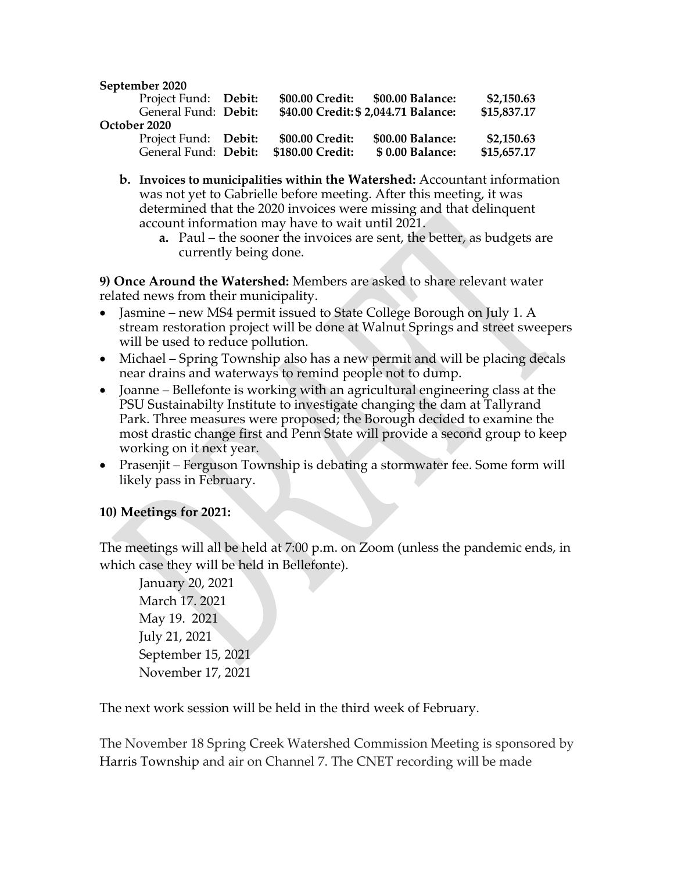#### **September 2020**

| Project Fund: Debit: | \$00.00 Credit:  | \$00.00 Balance:                    | \$2,150.63  |
|----------------------|------------------|-------------------------------------|-------------|
| General Fund: Debit: |                  | \$40.00 Credit: \$2,044.71 Balance: | \$15,837.17 |
| October 2020         |                  |                                     |             |
| Project Fund: Debit: | \$00.00 Credit:  | \$00.00 Balance:                    | \$2,150.63  |
| General Fund: Debit: | \$180.00 Credit: | \$0.00 Balance:                     | \$15,657.17 |

- **b. Invoices to municipalities within the Watershed:** Accountant information was not yet to Gabrielle before meeting. After this meeting, it was determined that the 2020 invoices were missing and that delinquent account information may have to wait until 2021.
	- **a.** Paul the sooner the invoices are sent, the better, as budgets are currently being done.

**9) Once Around the Watershed:** Members are asked to share relevant water related news from their municipality.

- Jasmine new MS4 permit issued to State College Borough on July 1. A stream restoration project will be done at Walnut Springs and street sweepers will be used to reduce pollution.
- Michael Spring Township also has a new permit and will be placing decals near drains and waterways to remind people not to dump.
- Joanne Bellefonte is working with an agricultural engineering class at the PSU Sustainabilty Institute to investigate changing the dam at Tallyrand Park. Three measures were proposed; the Borough decided to examine the most drastic change first and Penn State will provide a second group to keep working on it next year.
- Prasenjit Ferguson Township is debating a stormwater fee. Some form will likely pass in February.

## **10) Meetings for 2021:**

The meetings will all be held at 7:00 p.m. on Zoom (unless the pandemic ends, in which case they will be held in Bellefonte).

January 20, 2021 March 17. 2021 May 19. 2021 July 21, 2021 September 15, 2021 November 17, 2021

The next work session will be held in the third week of February.

The November 18 Spring Creek Watershed Commission Meeting is sponsored by Harris Township and air on Channel 7. The CNET recording will be made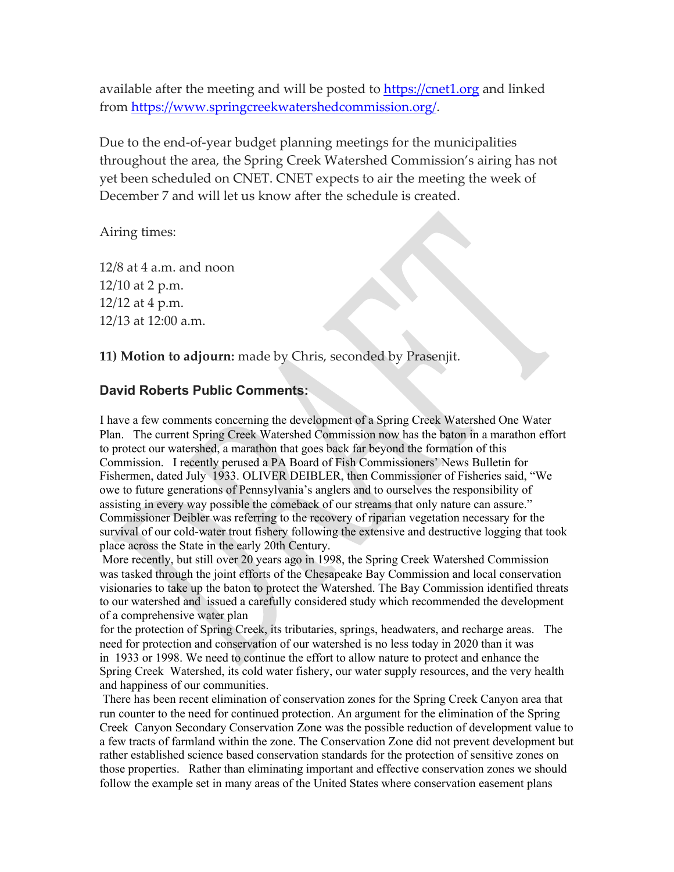available after the meeting and will be posted to https://cnet1.org and linked from https://www.springcreekwatershedcommission.org/.

Due to the end-of-year budget planning meetings for the municipalities throughout the area, the Spring Creek Watershed Commission's airing has not yet been scheduled on CNET. CNET expects to air the meeting the week of December 7 and will let us know after the schedule is created.

Airing times:

12/8 at 4 a.m. and noon 12/10 at 2 p.m. 12/12 at 4 p.m. 12/13 at 12:00 a.m.

**11) Motion to adjourn:** made by Chris, seconded by Prasenjit.

#### **David Roberts Public Comments:**

I have a few comments concerning the development of a Spring Creek Watershed One Water Plan. The current Spring Creek Watershed Commission now has the baton in a marathon effort to protect our watershed, a marathon that goes back far beyond the formation of this Commission. I recently perused a PA Board of Fish Commissioners' News Bulletin for Fishermen, dated July 1933. OLIVER DEIBLER, then Commissioner of Fisheries said, "We owe to future generations of Pennsylvania's anglers and to ourselves the responsibility of assisting in every way possible the comeback of our streams that only nature can assure." Commissioner Deibler was referring to the recovery of riparian vegetation necessary for the survival of our cold-water trout fishery following the extensive and destructive logging that took place across the State in the early 20th Century.

More recently, but still over 20 years ago in 1998, the Spring Creek Watershed Commission was tasked through the joint efforts of the Chesapeake Bay Commission and local conservation visionaries to take up the baton to protect the Watershed. The Bay Commission identified threats to our watershed and issued a carefully considered study which recommended the development of a comprehensive water plan

for the protection of Spring Creek, its tributaries, springs, headwaters, and recharge areas. The need for protection and conservation of our watershed is no less today in 2020 than it was in 1933 or 1998. We need to continue the effort to allow nature to protect and enhance the Spring Creek Watershed, its cold water fishery, our water supply resources, and the very health and happiness of our communities.

There has been recent elimination of conservation zones for the Spring Creek Canyon area that run counter to the need for continued protection. An argument for the elimination of the Spring Creek Canyon Secondary Conservation Zone was the possible reduction of development value to a few tracts of farmland within the zone. The Conservation Zone did not prevent development but rather established science based conservation standards for the protection of sensitive zones on those properties. Rather than eliminating important and effective conservation zones we should follow the example set in many areas of the United States where conservation easement plans